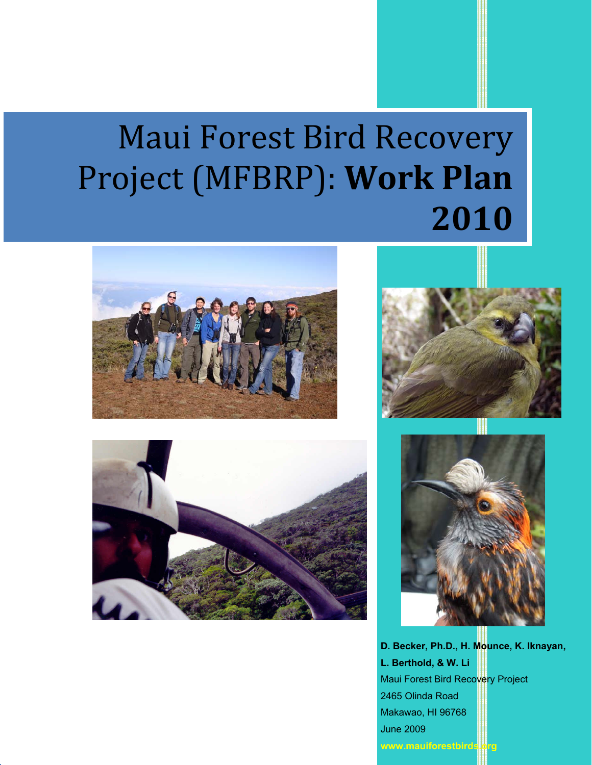# Maui Forest Bird Recovery Project (MFBRP): **Work Plan 2010**









2465 Olinda Road Makawao, HI 96768 June 2009 www.mauiforestbirds.org Maui Forest Bird Recovery Project **L. Berthold, & W. Li D. Becker, Ph.D., H. Mounce, K. Iknayan,**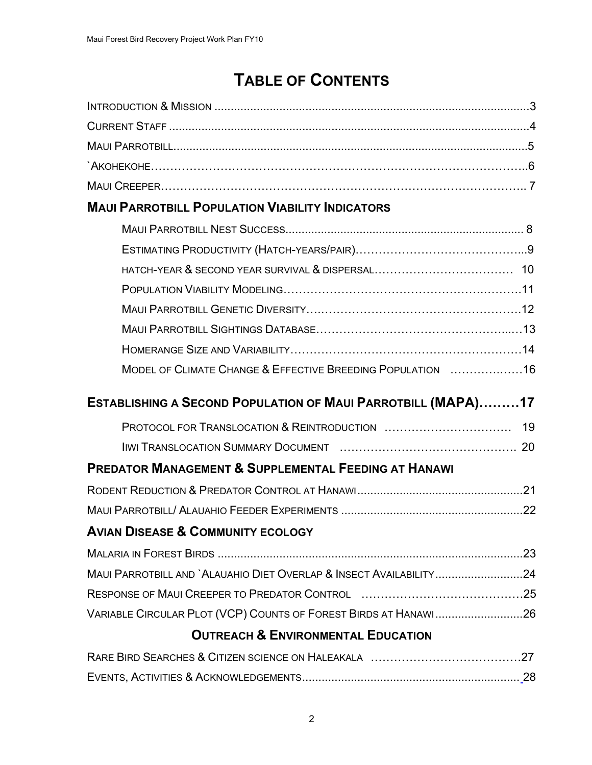# **TABLE OF CONTENTS**

| <b>MAUI PARROTBILL POPULATION VIABILITY INDICATORS</b>              |
|---------------------------------------------------------------------|
|                                                                     |
|                                                                     |
|                                                                     |
|                                                                     |
|                                                                     |
|                                                                     |
|                                                                     |
| MODEL OF CLIMATE CHANGE & EFFECTIVE BREEDING POPULATION 16          |
|                                                                     |
| <b>ESTABLISHING A SECOND POPULATION OF MAUI PARROTBILL (MAPA)17</b> |
| 19                                                                  |
|                                                                     |
| <b>PREDATOR MANAGEMENT &amp; SUPPLEMENTAL FEEDING AT HANAWI</b>     |
|                                                                     |
| .22                                                                 |
| <b>AVIAN DISEASE &amp; COMMUNITY ECOLOGY</b>                        |
|                                                                     |
| MAUI PARROTBILL AND `ALAUAHIO DIET OVERLAP & INSECT AVAILABILITY24  |
|                                                                     |
| VARIABLE CIRCULAR PLOT (VCP) COUNTS OF FOREST BIRDS AT HANAWI26     |
| <b>OUTREACH &amp; ENVIRONMENTAL EDUCATION</b>                       |
|                                                                     |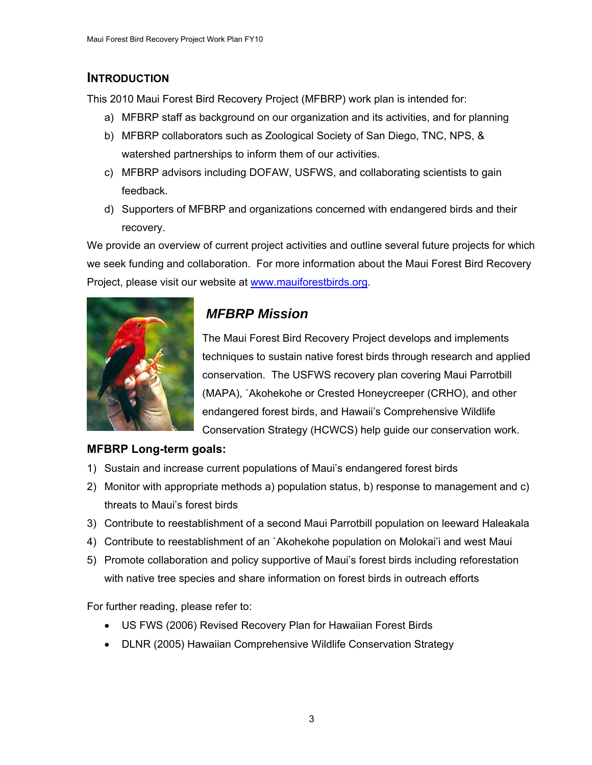## <span id="page-2-0"></span>**INTRODUCTION**

This 2010 Maui Forest Bird Recovery Project (MFBRP) work plan is intended for:

- a) MFBRP staff as background on our organization and its activities, and for planning
- b) MFBRP collaborators such as Zoological Society of San Diego, TNC, NPS, & watershed partnerships to inform them of our activities.
- c) MFBRP advisors including DOFAW, USFWS, and collaborating scientists to gain feedback.
- d) Supporters of MFBRP and organizations concerned with endangered birds and their recovery.

We provide an overview of current project activities and outline several future projects for which we seek funding and collaboration. For more information about the Maui Forest Bird Recovery Project, please visit our website at [www.mauiforestbirds.org](http://www.mauiforestbirds.org/).



## *MFBRP Mission*

The Maui Forest Bird Recovery Project develops and implements techniques to sustain native forest birds through research and applied conservation. The USFWS recovery plan covering Maui Parrotbill (MAPA), `Akohekohe or Crested Honeycreeper (CRHO), and other endangered forest birds, and Hawaii's Comprehensive Wildlife Conservation Strategy (HCWCS) help guide our conservation work.

## **MFBRP Long-term goals:**

- 1) Sustain and increase current populations of Maui's endangered forest birds
- 2) Monitor with appropriate methods a) population status, b) response to management and c) threats to Maui's forest birds
- 3) Contribute to reestablishment of a second Maui Parrotbill population on leeward Haleakala
- 4) Contribute to reestablishment of an `Akohekohe population on Molokai'i and west Maui
- 5) Promote collaboration and policy supportive of Maui's forest birds including reforestation with native tree species and share information on forest birds in outreach efforts

For further reading, please refer to:

- US FWS (2006) Revised Recovery Plan for Hawaiian Forest Birds
- DLNR (2005) Hawaiian Comprehensive Wildlife Conservation Strategy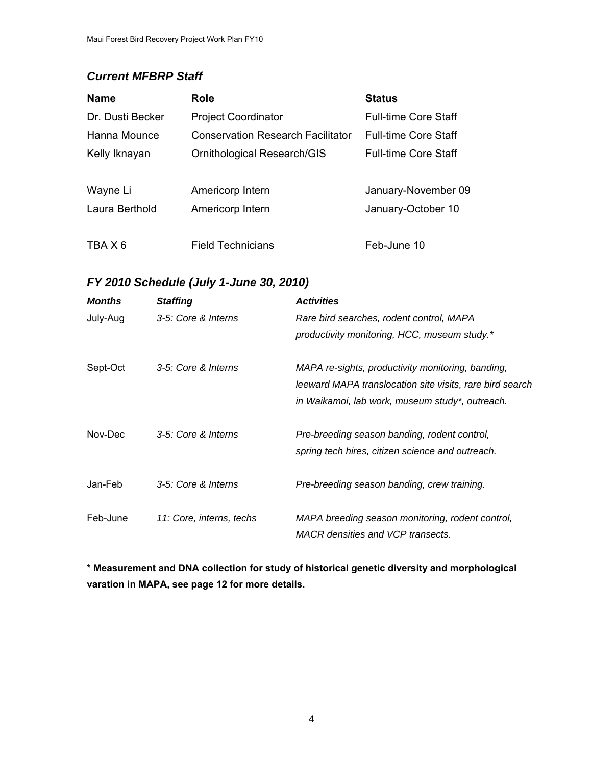## <span id="page-3-0"></span>*Current MFBRP Staff*

| <b>Name</b>      | <b>Role</b>                              | <b>Status</b>               |
|------------------|------------------------------------------|-----------------------------|
| Dr. Dusti Becker | <b>Project Coordinator</b>               | <b>Full-time Core Staff</b> |
| Hanna Mounce     | <b>Conservation Research Facilitator</b> | <b>Full-time Core Staff</b> |
| Kelly Iknayan    | Ornithological Research/GIS              | <b>Full-time Core Staff</b> |
|                  |                                          |                             |
| Wayne Li         | Americorp Intern                         | January-November 09         |
| Laura Berthold   | Americorp Intern                         | January-October 10          |
|                  |                                          |                             |
| TBA X 6          | <b>Field Technicians</b>                 | Feb-June 10                 |

## *FY 2010 Schedule (July 1-June 30, 2010)*

| <b>Months</b> | <b>Staffing</b>          | <b>Activities</b>                                        |
|---------------|--------------------------|----------------------------------------------------------|
| July-Aug      | 3-5: Core & Interns      | Rare bird searches, rodent control, MAPA                 |
|               |                          | productivity monitoring, HCC, museum study.*             |
| Sept-Oct      | 3-5: Core & Interns      | MAPA re-sights, productivity monitoring, banding,        |
|               |                          | leeward MAPA translocation site visits, rare bird search |
|               |                          | in Waikamoi, lab work, museum study*, outreach.          |
| Nov-Dec       | 3-5: Core & Interns      | Pre-breeding season banding, rodent control,             |
|               |                          | spring tech hires, citizen science and outreach.         |
| Jan-Feb       | 3-5: Core & Interns      | Pre-breeding season banding, crew training.              |
| Feb-June      | 11: Core, interns, techs | MAPA breeding season monitoring, rodent control,         |
|               |                          | MACR densities and VCP transects.                        |

**\* Measurement and DNA collection for study of historical genetic diversity and morphological varation in MAPA, see page 12 for more details.**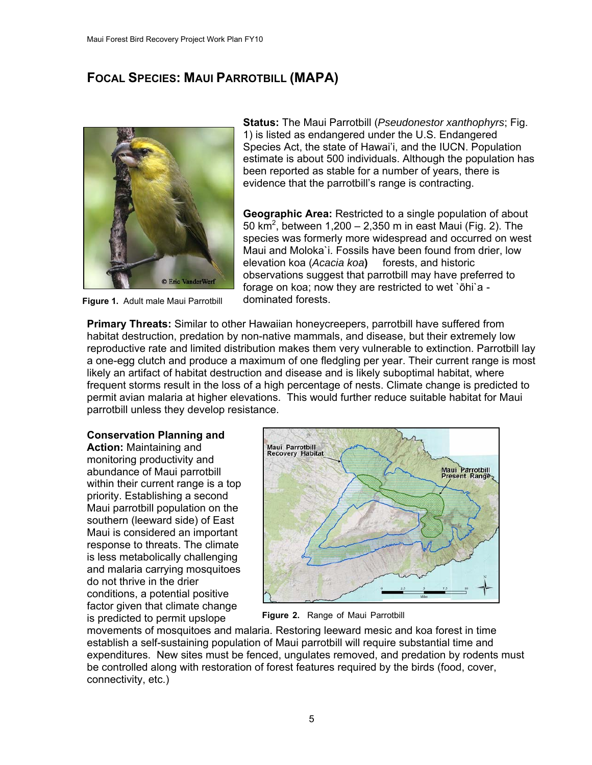## **FOCAL SPECIES: MAUI PARROTBILL (MAPA)**



Figure 1. Adult male Maui Parrotbill dominated forests.

**Status:** The Maui Parrotbill (*Pseudonestor xanthophyrs*; Fig. 1) is listed as endangered under the U.S. Endangered Species Act, the state of Hawai'i, and the IUCN. Population estimate is about 500 individuals. Although the population has been reported as stable for a number of years, there is evidence that the parrotbill's range is contracting.

**Geographic Area:** Restricted to a single population of about 50 km<sup>2</sup>, between 1,200 – 2,350 m in east Maui (Fig. 2). The species was formerly more widespread and occurred on west Maui and Moloka`i. Fossils have been found from drier, low elevation koa (*Acacia koa***)** forests, and historic observations suggest that parrotbill may have preferred to forage on koa; now they are restricted to wet `ōhi`a -

**Primary Threats:** Similar to other Hawaiian honeycreepers, parrotbill have suffered from habitat destruction, predation by non-native mammals, and disease, but their extremely low reproductive rate and limited distribution makes them very vulnerable to extinction. Parrotbill lay a one-egg clutch and produce a maximum of one fledgling per year. Their current range is most likely an artifact of habitat destruction and disease and is likely suboptimal habitat, where frequent storms result in the loss of a high percentage of nests. Climate change is predicted to permit avian malaria at higher elevations. This would further reduce suitable habitat for Maui parrotbill unless they develop resistance.

#### **Conservation Planning and Action:** Maintaining and

monitoring productivity and abundance of Maui parrotbill within their current range is a top priority. Establishing a second Maui parrotbill population on the southern (leeward side) of East Maui is considered an important response to threats. The climate is less metabolically challenging and malaria carrying mosquitoes do not thrive in the drier conditions, a potential positive factor given that climate change is predicted to permit upslope<sup>5</sup> Figure 2. Range of Maui Parrotbill



movements of mosquitoes and m alaria. Restoring leeward mesic and koa forest in time establish a self-sustaining population of Maui parrotbill will require substantial time and expenditures. New sites must be fenced, ungulates removed, and predation by rodents mus t be controlled along with restoration of forest features required by the birds (food, cover, connectivity, etc.)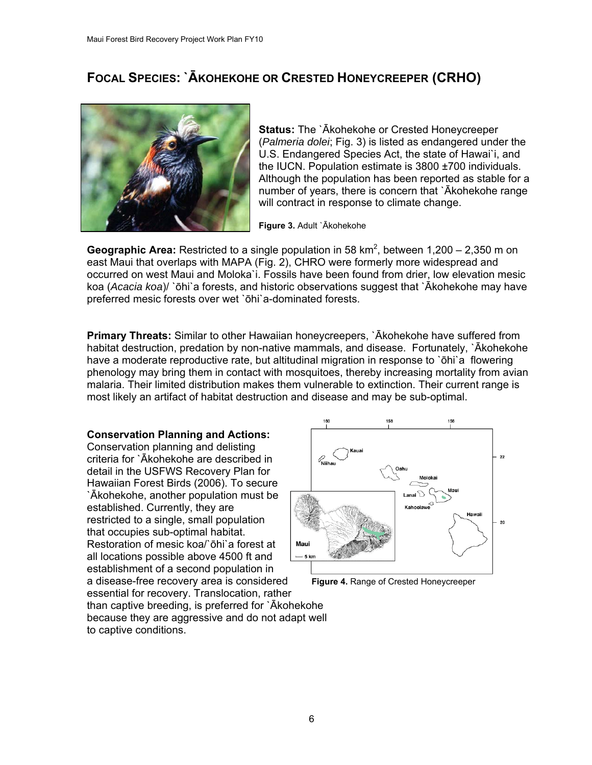## **FOCAL SPECIES: `ĀKOHEKOHE OR CRESTED HONEYCREEPER (CRHO)**



**Status:** The `Ākohekohe or Crested Honeycreeper (*Palmeria dolei*; Fig. 3) is listed as endangered under the U.S. Endangered Species Act, the state of Hawai`i, and the IUCN. Population estimate is 3800 ±700 individuals. Although the population has been reported as stable for a number of years, there is concern that `Ākohekohe range will contract in response to climate change.

**Figure 3.** Adult `Ākohekohe

**Geographic Area:** Restricted to a single population in 58 km<sup>2</sup>, between 1,200 – 2,350 m on east Maui that overlaps with MAPA (Fig. 2), CHRO were formerly more widespread and occurred on west Maui and Moloka`i. Fossils have been found from drier, low elevation mesic koa (*Acacia koa*)/ `ōhi`a forests, and historic observations suggest that `Ākohekohe may have preferred mesic forests over wet `ōhi`a-dominated forests.

**Primary Threats:** Similar to other Hawaiian honeycreepers, `Ākohekohe have suffered from habitat destruction, predation by non-native mammals, and disease. Fortunately, `Ākohekohe have a moderate reproductive rate, but altitudinal migration in response to `ōhi`a flowering phenology may bring them in contact with mosquitoes, thereby increasing mortality from avian malaria. Their limited distribution makes them vulnerable to extinction. Their current range is most likely an artifact of habitat destruction and disease and may be sub-optimal.

#### **Conservation Planning and Actions:**

Conservation planning and delisting criteria for `Ākohekohe are described in detail in the USFWS Recovery Plan for Hawaiian Forest Birds (2006). To secure `Ākohekohe, another population must be established. Currently, they are restricted to a single, small population that occupies sub-optimal habitat. Restoration of mesic koa/`ōhi`a forest at all locations possible above 4500 ft and establishment of a second population in a disease-free recovery area is considered **Figure 4.** Range of Crested Honeycreeper essential for recovery. Translocation, rather

 $22$ 20 Maui

than captive breeding, is preferred for `Ākohekohe because they are aggressive and do not adapt well to captive conditions.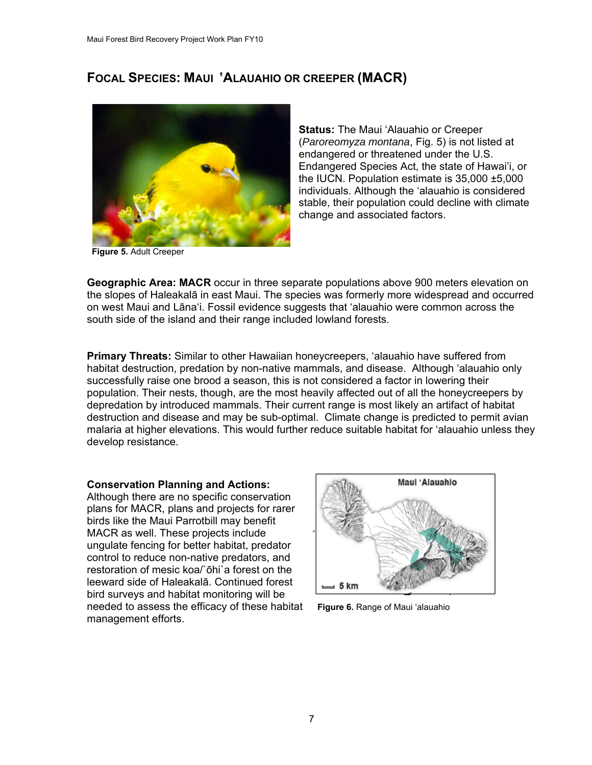## **FOCAL SPECIES: MAUI 'ALAUAHIO OR CREEPER (MACR)**



**Status:** The Maui 'Alauahio or Creeper (*Paroreomyza montana*, Fig. 5) is not listed at endangered or threatened under the U.S. Endangered Species Act, the state of Hawai'i, or the IUCN. Population estimate is 35,000 ±5,000 individuals. Although the 'alauahio is considered stable, their population could decline with climate change and associated factors.

**Geographic Area: MACR** occur in three separate populations above 900 meters elevation on the slopes of Haleakalā in east Maui. The species was formerly more widespread and occurred on west Maui and Lāna'i. Fossil evidence suggests that 'alauahio were common across the south side of the island and their range included lowland forests.

**Primary Threats:** Similar to other Hawaiian honeycreepers, 'alauahio have suffered from habitat destruction, predation by non-native mammals, and disease. Although 'alauahio only successfully raise one brood a season, this is not considered a factor in lowering their population. Their nests, though, are the most heavily affected out of all the honeycreepers by depredation by introduced mammals. Their current range is most likely an artifact of habitat destruction and disease and may be sub-optimal. Climate change is predicted to permit avian malaria at higher elevations. This would further reduce suitable habitat for 'alauahio unless they develop resistance.

#### **Conservation Planning and Actions:**

Although there are no specific conservation plans for MACR, plans and projects for rarer birds like the Maui Parrotbill may benefit MACR as well. These projects include ungulate fencing for better habitat, predator control to reduce non-native predators, and restoration of mesic koa/`ōhi`a forest on the leeward side of Haleakalā. Continued forest bird surveys and habitat monitoring will be needed to assess the efficacy of these habitat **Figure 6.** Range of Maui 'alauahio management efforts.

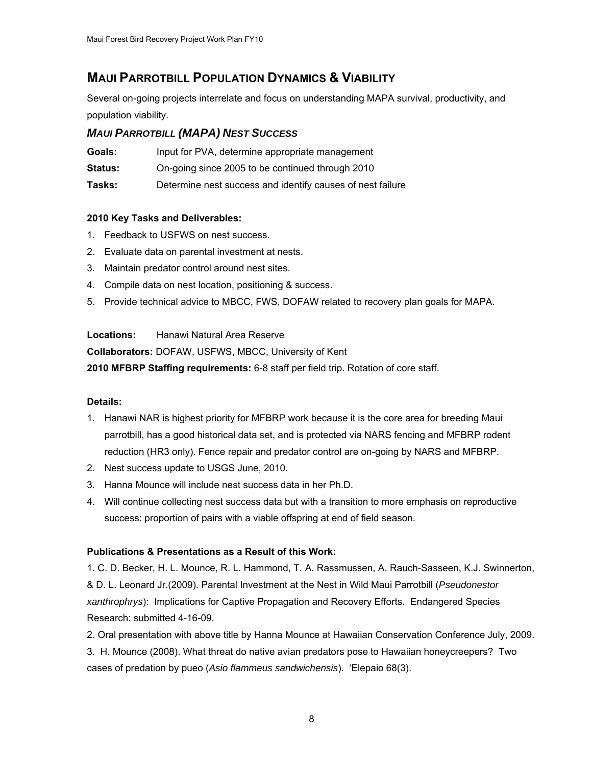## **MAUI PARROTBILL POPULATION DYNAMICS & VIABILITY**

Several on-going projects interrelate and focus on understanding MAPA survival, productivity, and population viability.

#### *MAUI PARROTBILL (MAPA) NEST SUCCESS*

| Goals: |  |  | Input for PVA, determine appropriate management |
|--------|--|--|-------------------------------------------------|
|--------|--|--|-------------------------------------------------|

**Status:** On-going since 2005 to be continued through 2010

**Tasks:** Determine nest success and identify causes of nest failure

#### **2010 Key Tasks and Deliverables:**

- 1. Feedback to USFWS on nest success.
- 2. Evaluate data on parental investment at nests.
- 3. Maintain predator control around nest sites.
- 4. Compile data on nest location, positioning & success.
- 5. Provide technical advice to MBCC, FWS, DOFAW related to recovery plan goals for MAPA.

#### **Locations:** Hanawi Natural Area Reserve

**Collaborators:** DOFAW, USFWS, MBCC, University of Kent

**2010 MFBRP Staffing requirements:** 6-8 staff per field trip. Rotation of core staff.

#### **Details:**

- 1. Hanawi NAR is highest priority for MFBRP work because it is the core area for breeding Maui parrotbill, has a good historical data set, and is protected via NARS fencing and MFBRP rodent reduction (HR3 only). Fence repair and predator control are on-going by NARS and MFBRP.
- 2. Nest success update to USGS June, 2010.
- 3. Hanna Mounce will include nest success data in her Ph.D.
- 4. Will continue collecting nest success data but with a transition to more emphasis on reproductive success: proportion of pairs with a viable offspring at end of field season.

#### **Publications & Presentations as a Result of this Work:**

1. C. D. Becker, H. L. Mounce, R. L. Hammond, T. A. Rassmussen, A. Rauch-Sasseen, K.J. Swinnerton, & D. L. Leonard Jr.(2009). Parental Investment at the Nest in Wild Maui Parrotbill (*Pseudonestor xanthrophrys*): Implications for Captive Propagation and Recovery Efforts. Endangered Species Research: submitted 4-16-09.

2. Oral presentation with above title by Hanna Mounce at Hawaiian Conservation Conference July, 2009.

3. H. Mounce (2008). What threat do native avian predators pose to Hawaiian honeycreepers? Two cases of predation by pueo (*Asio flammeus sandwichensis*). 'Elepaio 68(3).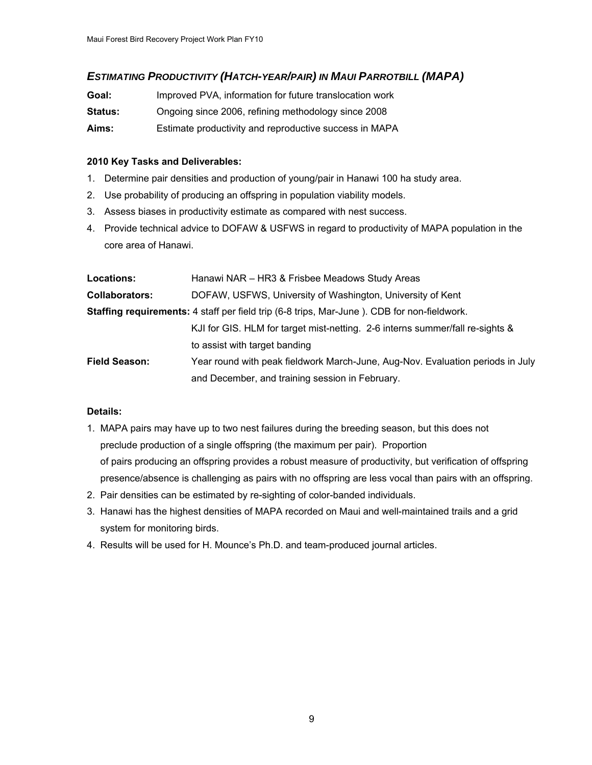#### *ESTIMATING PRODUCTIVITY (HATCH-YEAR/PAIR) IN MAUI PARROTBILL (MAPA)*

| Goal:          | Improved PVA, information for future translocation work |  |  |  |
|----------------|---------------------------------------------------------|--|--|--|
| <b>Status:</b> | Ongoing since 2006, refining methodology since 2008     |  |  |  |
| Aims:          | Estimate productivity and reproductive success in MAPA  |  |  |  |

#### **2010 Key Tasks and Deliverables:**

- 1. Determine pair densities and production of young/pair in Hanawi 100 ha study area.
- 2. Use probability of producing an offspring in population viability models.
- 3. Assess biases in productivity estimate as compared with nest success.
- 4. Provide technical advice to DOFAW & USFWS in regard to productivity of MAPA population in the core area of Hanawi.

| Locations:            | Hanawi NAR - HR3 & Frisbee Meadows Study Areas                                                     |  |  |
|-----------------------|----------------------------------------------------------------------------------------------------|--|--|
| <b>Collaborators:</b> | DOFAW, USFWS, University of Washington, University of Kent                                         |  |  |
|                       | <b>Staffing requirements:</b> 4 staff per field trip (6-8 trips, Mar-June). CDB for non-fieldwork. |  |  |
|                       | KJI for GIS. HLM for target mist-netting. 2-6 interns summer/fall re-sights &                      |  |  |
|                       | to assist with target banding                                                                      |  |  |
| <b>Field Season:</b>  | Year round with peak fieldwork March-June, Aug-Nov. Evaluation periods in July                     |  |  |
|                       | and December, and training session in February.                                                    |  |  |

- 1. MAPA pairs may have up to two nest failures during the breeding season, but this does not preclude production of a single offspring (the maximum per pair). Proportion of pairs producing an offspring provides a robust measure of productivity, but verification of offspring presence/absence is challenging as pairs with no offspring are less vocal than pairs with an offspring.
- 2. Pair densities can be estimated by re-sighting of color-banded individuals.
- 3. Hanawi has the highest densities of MAPA recorded on Maui and well-maintained trails and a grid system for monitoring birds.
- 4. Results will be used for H. Mounce's Ph.D. and team-produced journal articles.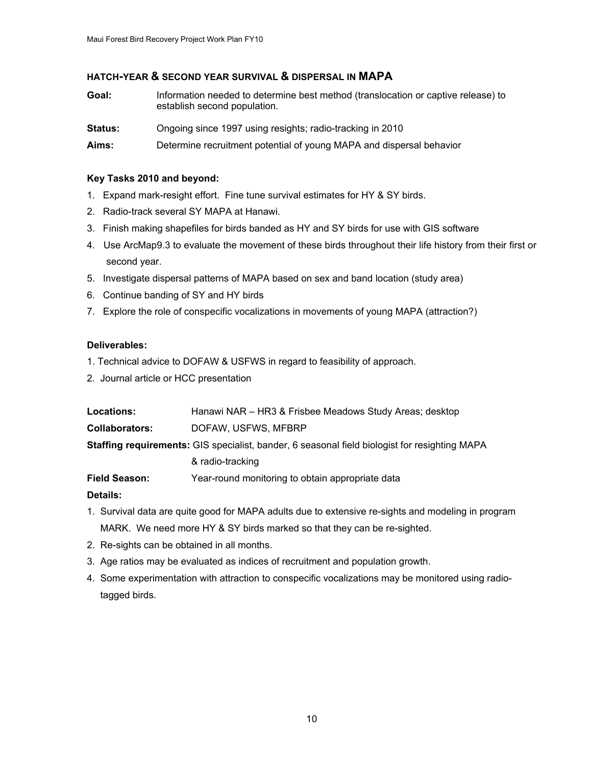#### **HATCH-YEAR & SECOND YEAR SURVIVAL & DISPERSAL IN MAPA**

| Goal: | Information needed to determine best method (translocation or captive release) to |
|-------|-----------------------------------------------------------------------------------|
|       | establish second population.                                                      |

**Status:** Ongoing since 1997 using resights; radio-tracking in 2010

**Aims:** Determine recruitment potential of young MAPA and dispersal behavior

#### **Key Tasks 2010 and beyond:**

- 1. Expand mark-resight effort. Fine tune survival estimates for HY & SY birds.
- 2. Radio-track several SY MAPA at Hanawi.
- 3. Finish making shapefiles for birds banded as HY and SY birds for use with GIS software
- 4. Use ArcMap9.3 to evaluate the movement of these birds throughout their life history from their first or second year.
- 5. Investigate dispersal patterns of MAPA based on sex and band location (study area)
- 6. Continue banding of SY and HY birds
- 7. Explore the role of conspecific vocalizations in movements of young MAPA (attraction?)

#### **Deliverables:**

- 1. Technical advice to DOFAW & USFWS in regard to feasibility of approach.
- 2. Journal article or HCC presentation

| <b>Locations:</b>     | Hanawi NAR – HR3 & Frisbee Meadows Study Areas; desktop |
|-----------------------|---------------------------------------------------------|
| <b>Collaborators:</b> | DOFAW, USFWS, MFBRP                                     |

**Staffing requirements:** GIS specialist, bander, 6 seasonal field biologist for resighting MAPA

#### & radio-tracking

**Field Season:** Year-round monitoring to obtain appropriate data

- 1. Survival data are quite good for MAPA adults due to extensive re-sights and modeling in program MARK. We need more HY & SY birds marked so that they can be re-sighted.
- 2. Re-sights can be obtained in all months.
- 3. Age ratios may be evaluated as indices of recruitment and population growth.
- 4. Some experimentation with attraction to conspecific vocalizations may be monitored using radio tagged birds.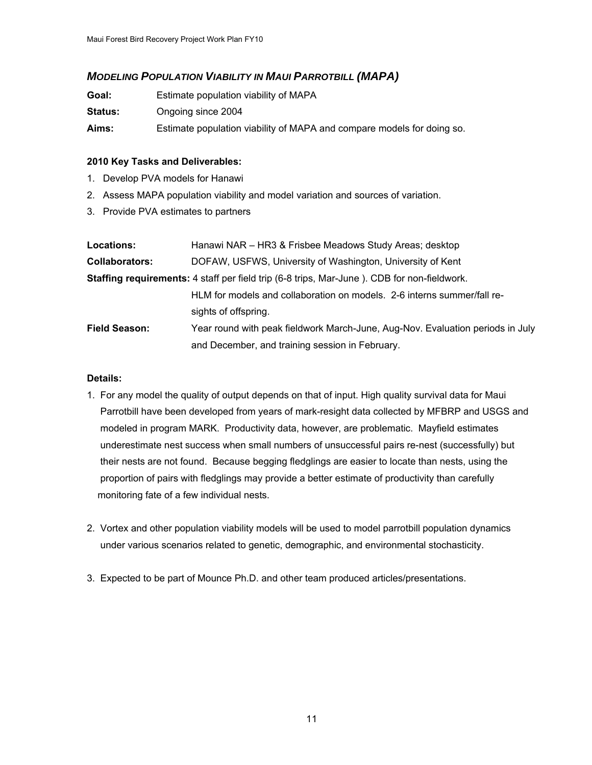#### *MODELING POPULATION VIABILITY IN MAUI PARROTBILL (MAPA)*

| Goal:          | Estimate population viability of MAPA                                  |
|----------------|------------------------------------------------------------------------|
| <b>Status:</b> | Ongoing since 2004                                                     |
| Aims:          | Estimate population viability of MAPA and compare models for doing so. |

#### **2010 Key Tasks and Deliverables:**

- 1. Develop PVA models for Hanawi
- 2. Assess MAPA population viability and model variation and sources of variation.
- 3. Provide PVA estimates to partners

| <b>Locations:</b>     | Hanawi NAR - HR3 & Frisbee Meadows Study Areas; desktop                                            |
|-----------------------|----------------------------------------------------------------------------------------------------|
| <b>Collaborators:</b> | DOFAW, USFWS, University of Washington, University of Kent                                         |
|                       | <b>Staffing requirements:</b> 4 staff per field trip (6-8 trips, Mar-June). CDB for non-fieldwork. |
|                       | HLM for models and collaboration on models. 2-6 interns summer/fall re-                            |
|                       | sights of offspring.                                                                               |
| <b>Field Season:</b>  | Year round with peak fieldwork March-June, Aug-Nov. Evaluation periods in July                     |
|                       | and December, and training session in February.                                                    |

- 1. For any model the quality of output depends on that of input. High quality survival data for Maui Parrotbill have been developed from years of mark-resight data collected by MFBRP and USGS and modeled in program MARK. Productivity data, however, are problematic. Mayfield estimates underestimate nest success when small numbers of unsuccessful pairs re-nest (successfully) but their nests are not found. Because begging fledglings are easier to locate than nests, using the proportion of pairs with fledglings may provide a better estimate of productivity than carefully monitoring fate of a few individual nests.
- 2. Vortex and other population viability models will be used to model parrotbill population dynamics under various scenarios related to genetic, demographic, and environmental stochasticity.
- 3. Expected to be part of Mounce Ph.D. and other team produced articles/presentations.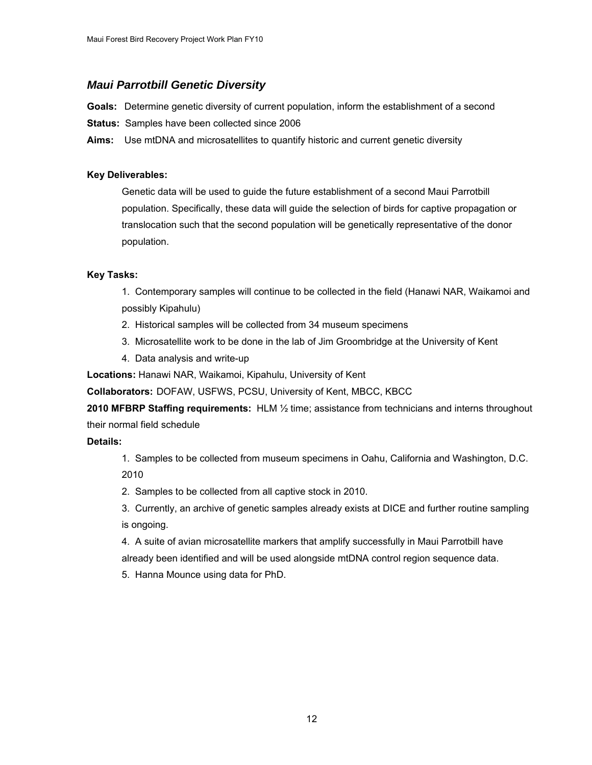#### *Maui Parrotbill Genetic Diversity*

**Goals:** Determine genetic diversity of current population, inform the establishment of a second

**Status:** Samples have been collected since 2006

**Aims:** Use mtDNA and microsatellites to quantify historic and current genetic diversity

#### **Key Deliverables:**

Genetic data will be used to guide the future establishment of a second Maui Parrotbill population. Specifically, these data will guide the selection of birds for captive propagation or translocation such that the second population will be genetically representative of the donor population.

#### **Key Tasks:**

1. Contemporary samples will continue to be collected in the field (Hanawi NAR, Waikamoi and possibly Kipahulu)

- 2. Historical samples will be collected from 34 museum specimens
- 3. Microsatellite work to be done in the lab of Jim Groombridge at the University of Kent
- 4. Data analysis and write-up

**Locations:** Hanawi NAR, Waikamoi, Kipahulu, University of Kent

**Collaborators:** DOFAW, USFWS, PCSU, University of Kent, MBCC, KBCC

**2010 MFBRP Staffing requirements:** HLM ½ time; assistance from technicians and interns throughout their normal field schedule

#### **Details:**

1. Samples to be collected from museum specimens in Oahu, California and Washington, D.C. 2010

- 2. Samples to be collected from all captive stock in 2010.
- 3. Currently, an archive of genetic samples already exists at DICE and further routine sampling is ongoing.
- 4. A suite of avian microsatellite markers that amplify successfully in Maui Parrotbill have already been identified and will be used alongside mtDNA control region sequence data.
- 5. Hanna Mounce using data for PhD.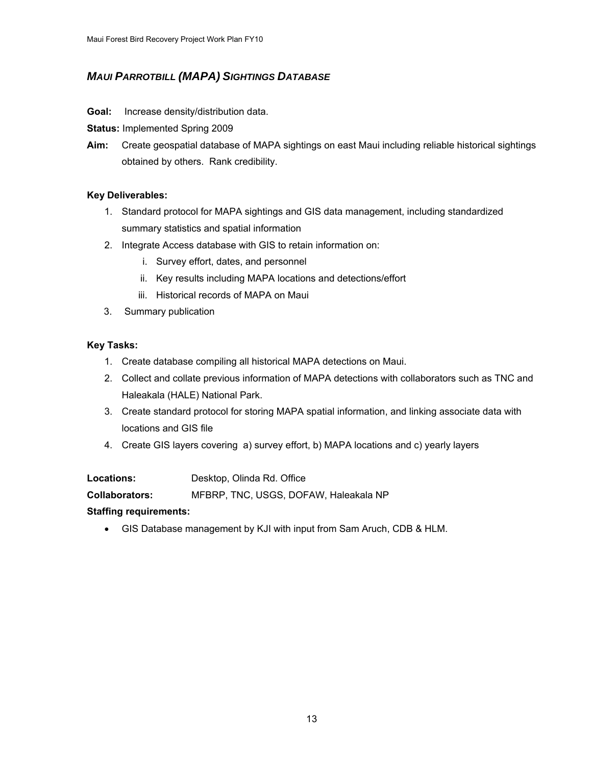## *MAUI PARROTBILL (MAPA) SIGHTINGS DATABASE*

#### **Goal:** Increase density/distribution data.

**Status:** Implemented Spring 2009

**Aim:** Create geospatial database of MAPA sightings on east Maui including reliable historical sightings obtained by others. Rank credibility.

#### **Key Deliverables:**

- 1. Standard protocol for MAPA sightings and GIS data management, including standardized summary statistics and spatial information
- 2. Integrate Access database with GIS to retain information on:
	- i. Survey effort, dates, and personnel
	- ii. Key results including MAPA locations and detections/effort
	- iii. Historical records of MAPA on Maui
- 3. Summary publication

#### **Key Tasks:**

- 1. Create database compiling all historical MAPA detections on Maui.
- 2. Collect and collate previous information of MAPA detections with collaborators such as TNC and Haleakala (HALE) National Park.
- 3. Create standard protocol for storing MAPA spatial information, and linking associate data with locations and GIS file
- 4. Create GIS layers covering a) survey effort, b) MAPA locations and c) yearly layers

| Locations: | Desktop, Olinda Rd. Office |
|------------|----------------------------|
|------------|----------------------------|

**Collaborators:** MFBRP, TNC, USGS, DOFAW, Haleakala NP

#### **Staffing requirements:**

• GIS Database management by KJI with input from Sam Aruch, CDB & HLM.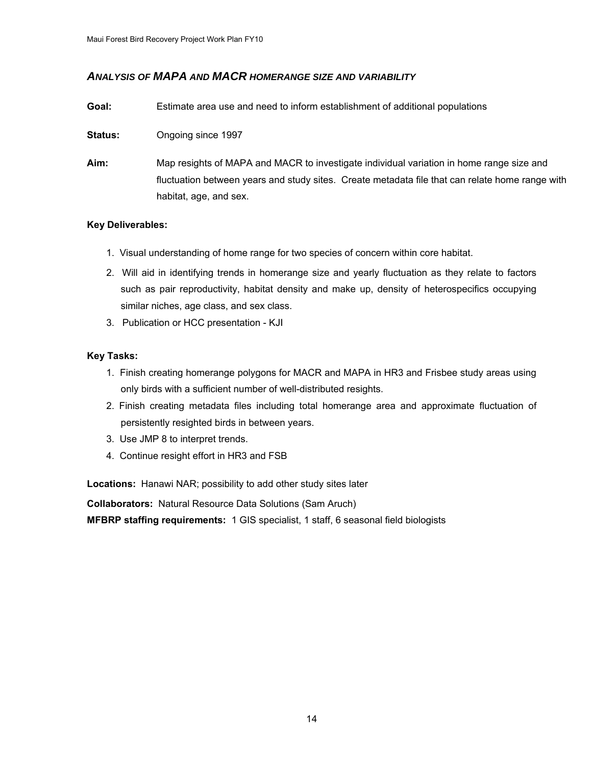#### *ANALYSIS OF MAPA AND MACR HOMERANGE SIZE AND VARIABILITY*

- **Goal:** Estimate area use and need to inform establishment of additional populations
- **Status:** Ongoing since 1997
- **Aim:** Map resights of MAPA and MACR to investigate individual variation in home range size and fluctuation between years and study sites. Create metadata file that can relate home range with habitat, age, and sex.

#### **Key Deliverables:**

- 1. Visual understanding of home range for two species of concern within core habitat.
- 2. Will aid in identifying trends in homerange size and yearly fluctuation as they relate to factors such as pair reproductivity, habitat density and make up, density of heterospecifics occupying similar niches, age class, and sex class.
- 3. Publication or HCC presentation KJI

#### **Key Tasks:**

- 1. Finish creating homerange polygons for MACR and MAPA in HR3 and Frisbee study areas using only birds with a sufficient number of well-distributed resights.
- 2. Finish creating metadata files including total homerange area and approximate fluctuation of persistently resighted birds in between years.
- 3. Use JMP 8 to interpret trends.
- 4. Continue resight effort in HR3 and FSB

**Locations:** Hanawi NAR; possibility to add other study sites later

**Collaborators:** Natural Resource Data Solutions (Sam Aruch)

**MFBRP staffing requirements:** 1 GIS specialist, 1 staff, 6 seasonal field biologists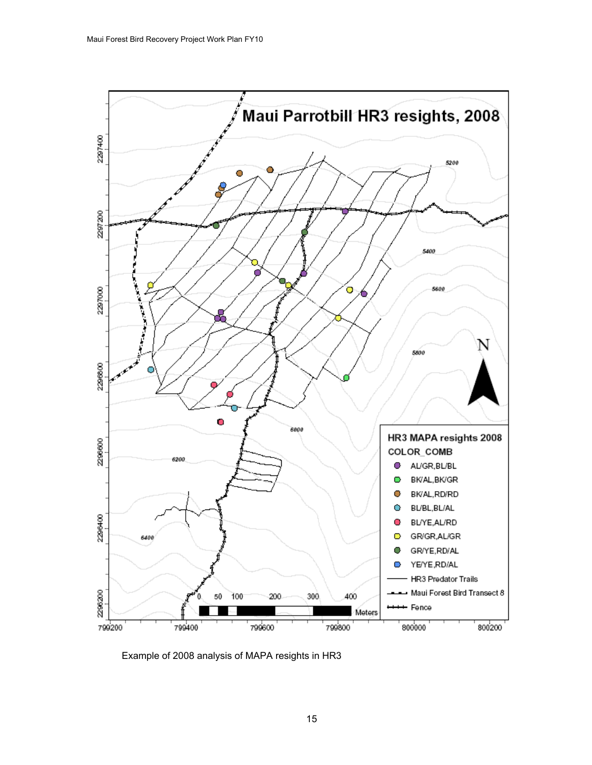

Example of 2008 analysis of MAPA resights in HR3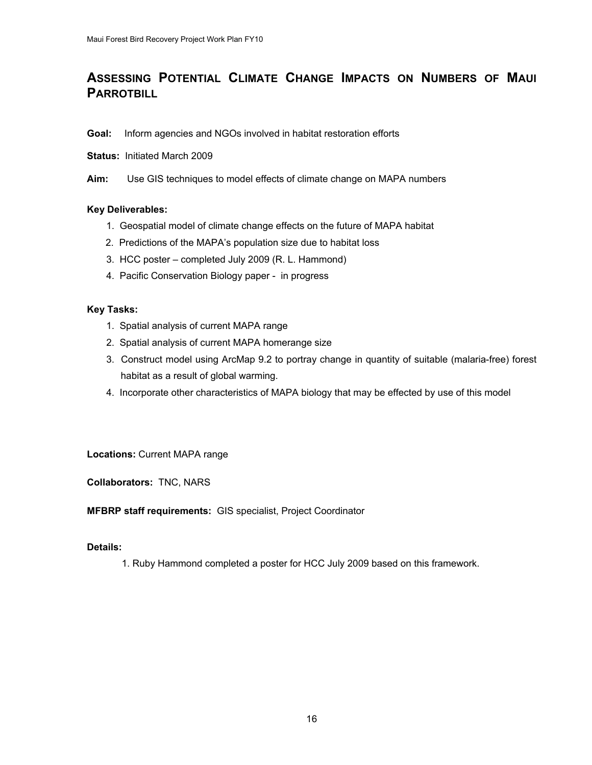## **ASSESSING POTENTIAL CLIMATE CHANGE IMPACTS ON NUMBERS OF MAUI PARROTBILL**

#### **Goal:** Inform agencies and NGOs involved in habitat restoration efforts

#### **Status:** Initiated March 2009

**Aim:** Use GIS techniques to model effects of climate change on MAPA numbers

#### **Key Deliverables:**

- 1. Geospatial model of climate change effects on the future of MAPA habitat
- 2. Predictions of the MAPA's population size due to habitat loss
- 3. HCC poster completed July 2009 (R. L. Hammond)
- 4. Pacific Conservation Biology paper in progress

#### **Key Tasks:**

- 1. Spatial analysis of current MAPA range
- 2. Spatial analysis of current MAPA homerange size
- 3. Construct model using ArcMap 9.2 to portray change in quantity of suitable (malaria-free) forest habitat as a result of global warming.
- 4. Incorporate other characteristics of MAPA biology that may be effected by use of this model

**Locations:** Current MAPA range

**Collaborators:** TNC, NARS

**MFBRP staff requirements:** GIS specialist, Project Coordinator

#### **Details:**

1. Ruby Hammond completed a poster for HCC July 2009 based on this framework.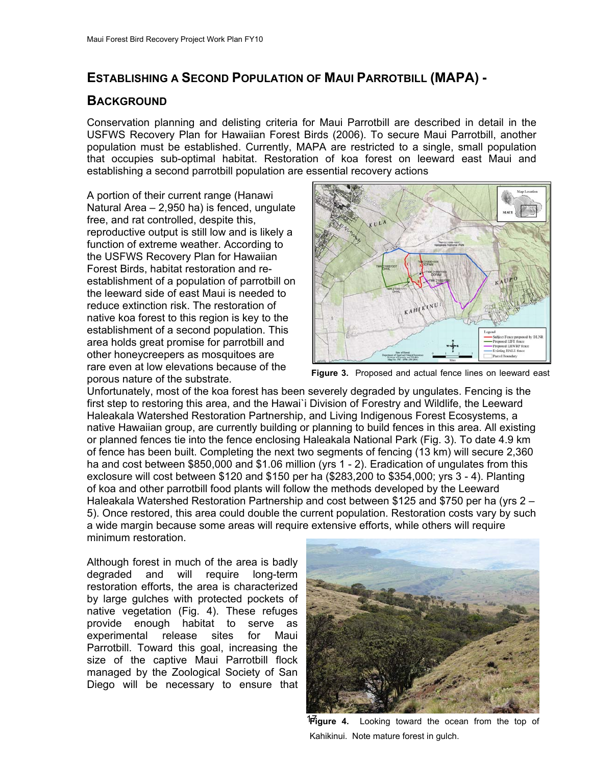## **ESTABLISHING A SECOND POPULATION OF MAUI PARROTBILL (MAPA) -**

#### **BACKGROUND**

Conservation planning and delisting criteria for Maui Parrotbill are described in detail in the USFWS Recovery Plan for Hawaiian Forest Birds (2006). To secure Maui Parrotbill, another population must be established. Currently, MAPA are restricted to a single, small population that occupies sub-optimal habitat. Restoration of koa forest on leeward east Maui and establishing a second parrotbill population are essential recovery actions

A portion of their current range (Hanawi Natural Area – 2,950 ha) is fenced, ungulate free, and rat controlled, despite this, reproductive output is still low and is likely a function of extreme weather. Accordin g to the USFWS Recovery Plan for Hawaiian Forest Birds, habitat restoration and reestablishment of a population of parrotbill on the leeward side of east Maui is needed to reduce extinction risk. The restoration of native koa forest to this region is key to the establishment of a second population. T his area holds great promise for parrotbill and other honeycreepers as mosquitoes are rare even at low elevations because of the porous nature of the substrate.



**Figure 3.** Proposed and actual fence lines on leeward east

Unfortunately, most of the koa forest has been severely degraded by ungulates. Fencing is t he first step to restoring this area, and the Hawai`i Division of Forestry and Wildlife, the Leeward Haleakala Watershed Restoration Partnership, and Living Indigenous Forest Ecosystems, a native Hawaiian group, are currently building or planning to build fences in this area. All existing or planned fences tie into the fence enclosing Haleakala National Park (Fig. 3). To date 4.9 km of fence has been built. Completing the next two segments of fencing (13 km) will secure 2,36 0 ha and cost between \$850,000 and \$1.06 million (yrs 1 - 2). Eradication of ungulates from this exclosure will cost between \$120 and \$150 per ha (\$283,200 to \$354,000; yrs 3 - 4). Pl anting of koa and other parrotbill food plants will follow the methods developed by the Leeward Haleakala Watershed Restoration Partnership and cost between \$125 and \$750 per ha (yrs 2 – 5). Once restored, this area could double the current population. Restoration costs vary by such a wide margin because some areas will require extensive efforts, while others will require minimum restoration.

Although forest in much of the area is badly degraded and will require long-term restoration efforts, the area is characterized by large gulches with protected pockets of native vegetation (Fig. 4). These refuges provide enough habitat to serve as experimental release sites for Maui Parrotbill. Toward this goal, increasing the size of the captive Maui Parrotbill flock managed by the Zoological Society of San Diego will be necessary to ensure that



Kahikinui. Note mature forest in gulch. 17**Figure 4.** Looking toward the ocean from the top of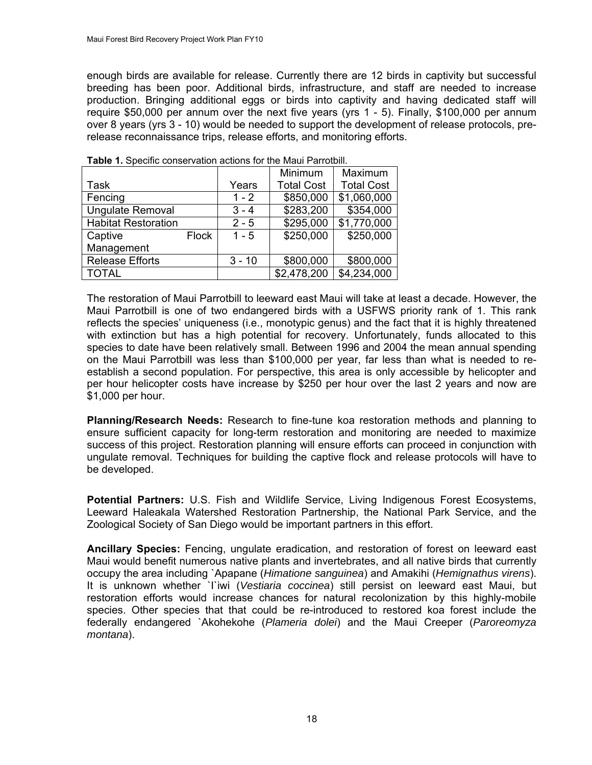enough birds are available for release. Currently there are 12 birds in captivity but successful breeding has been poor. Additional birds, infrastructure, and staff are needed to increase production. Bringing additional eggs or birds into captivity and having dedicated staff will require \$50,000 per annum over the next five years (yrs 1 - 5). Finally, \$100,000 per annum over 8 years (yrs 3 - 10) would be needed to support the development of release protocols, prerelease reconnaissance trips, release efforts, and monitoring efforts.

|                            |              |          | Minimum           | Maximum           |
|----------------------------|--------------|----------|-------------------|-------------------|
| <b>Task</b>                |              | Years    | <b>Total Cost</b> | <b>Total Cost</b> |
| Fencing                    |              | $1 - 2$  | \$850,000         | \$1,060,000       |
| <b>Ungulate Removal</b>    |              | $3 - 4$  | \$283,200         | \$354,000         |
| <b>Habitat Restoration</b> |              | $2 - 5$  | \$295,000         | \$1,770,000       |
| Captive                    | <b>Flock</b> | $1 - 5$  | \$250,000         | \$250,000         |
| Management                 |              |          |                   |                   |
| <b>Release Efforts</b>     |              | $3 - 10$ | \$800,000         | \$800,000         |
| <b>TOTAL</b>               |              |          | \$2,478,200       | \$4,234,000       |

**able 1.** Specific conservation actions for the Maui Parrotbill. **T**

The restoration of Maui Parrotbill to leeward east Maui will take at least a decade. However, the Maui Parrotbill is one of two endangered birds with a USFWS priority rank of 1. This rank reflects the species' uniqueness (i.e., monotypic genus) and the fact that it is highly threatened with extinction but has a high potential for recovery. Unfortunately, funds allocated to this species to date have been relatively small. Between 1996 and 2004 the mean annual spending on the Maui Parrotbill was less than \$100,000 per year, far less than what is needed to reestablish a second population. For perspective, this area is only accessible by helicopter and per hour helicopter costs have increase by \$250 per hour over the last 2 years and now are \$1,000 per hour.

Planning/Research Needs: Research to fine-tune koa restoration methods and planning to ensure sufficient capacity for long-term restoration and monitoring are needed to maximize success of this project. Restoration planning will ensure efforts can proceed in conjunction with ungulate removal. Techniques for building the captive flock and release protocols will have to be developed.

Potential Partners: U.S. Fish and Wildlife Service, Living Indigenous Forest Ecosystems, Leeward Haleakala Watershed Restoration Partnership, the National Park Service, and the Zoological Society of San Diego would be important partners in this effort.

**ncillary Species:** Fencing, ungulate eradication, and restoration of forest on leeward east **A** Maui would benefit numerous native plants and invertebrates, and all native birds that currently occupy the area including `Apapane (*Himatione sanguinea*) and Amakihi (*Hemignathus virens*). It is unknown whether `I`iwi (*Vestiaria coccinea*) still persist on leeward east Maui, but restoration efforts would increase chances for natural recolonization by this highly-mobile species. Other species that that could be re-introduced to restored koa forest include the federally endangered `Akohekohe (*Plameria dolei*) and the Maui Creeper (*Paroreomyza montana*).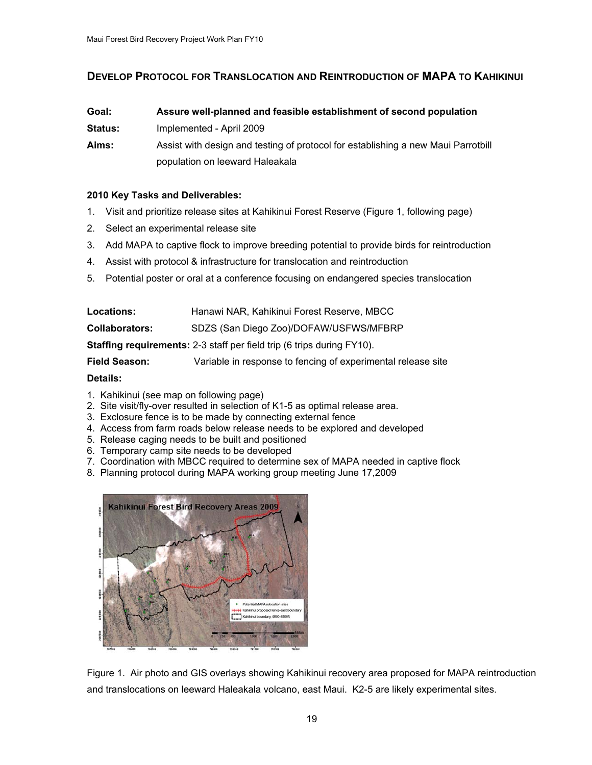#### **DEVELOP PROTOCOL FOR TRANSLOCATION AND REINTRODUCTION OF MAPA TO KAHIKINUI**

| Goal:          | Assure well-planned and feasible establishment of second population               |  |
|----------------|-----------------------------------------------------------------------------------|--|
| <b>Status:</b> | Implemented - April 2009                                                          |  |
| Aims:          | Assist with design and testing of protocol for establishing a new Maui Parrotbill |  |
|                | population on leeward Haleakala                                                   |  |

#### **010 Key Tasks and Deliverables: 2**

- 1. Visit and prioritize release sites at Kahikinui Forest Reserve (Figure 1, following page)
- 2. Select an experimental release site
- 3. Add MAPA to captive flock to improve breeding potential to provide birds for reintroduction
- 4. Assist with protocol & infrastructure for translocation and reintroduction
- 5. Potential poster or oral at a conference focusing on endangered species translocation

| <b>Locations:</b>     | Hanawi NAR, Kahikinui Forest Reserve, MBCC                                    |
|-----------------------|-------------------------------------------------------------------------------|
| <b>Collaborators:</b> | SDZS (San Diego Zoo)/DOFAW/USFWS/MFBRP                                        |
|                       | <b>Staffing requirements:</b> 2-3 staff per field trip (6 trips during FY10). |

**Field Season:** Variable in response to fencing of experimental release site

#### **Details:**

- 1. Kahikinui (see map on following page)
- 2. Site visit/fly-over resulted in selection of K1-5 as optimal release area.
- 3. Exclosure fence is to be made by connecting external fence
- 4. Access from farm roads below release needs to be explored and developed
- 5. Release caging needs to be built and positioned
- 6. Temporary camp site needs to be developed
- 7. Coordination with MBCC required to determine sex of MAPA needed in captive flock
- 8. Planning protocol during MAPA working group meeting June 17,2009



Figure 1. Air photo and GIS overlays showing Kahikinui recovery area proposed for MAPA reintroduction and translocations on leeward Haleakala volcano, east Maui. K2-5 are likely experimental sites.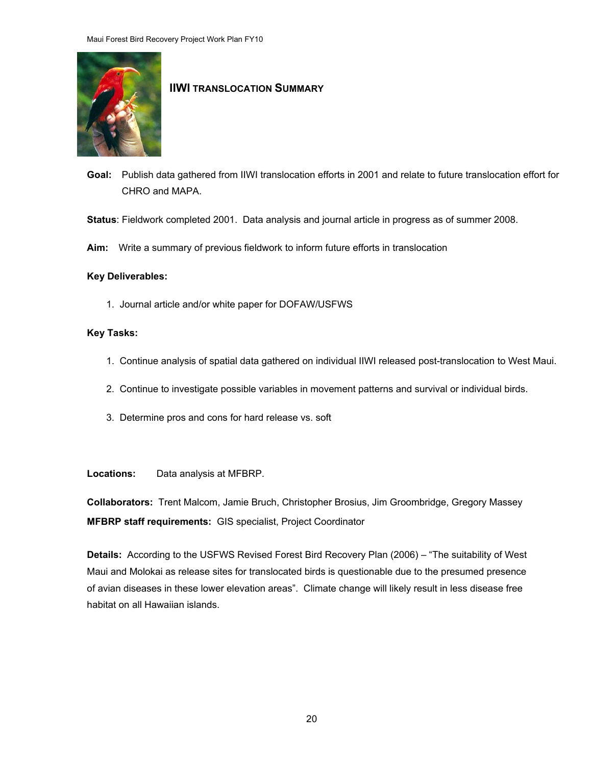

#### **IIWI TRANSLOCATION SUMMARY**

- Goal: Publish data gathered from IIWI translocation efforts in 2001 and relate to future translocation effort for CHRO and MAPA.
- : **Status** Fieldwork completed 2001. Data analysis and journal article in progress as of summer 2008.
- Aim: Write a summary of previous fieldwork to inform future efforts in translocation

#### **Key Deliverables:**

1. Journal article and/or white paper for DOFAW/USFWS

#### **Key Tasks:**

- 1. Continue analysis of spatial data gathered on individual IIWI released post-translocation to West Maui.
- 2. Continue to investigate possible variables in movement patterns and survival or individual birds.
- 3. Determine pros and cons for hard release vs. soft

**Loc** Data analysis at MFBRP.

**ollaborators:** Trent Malcom, Jamie Bruch, Christopher Brosius, Jim Groombridge, Gregory Massey **C MFBRP staff requirements:** GIS specialist, Project Coordinator

Maui and Molokai as release sites for translocated birds is questionable due to the presumed presence of avian diseases in these lower elevation areas". Climate change will likely result in less disease free **Details:** According to the USFWS Revised Forest Bird Recovery Plan (2006) – "The suitability of West habitat on all Hawaiian islands.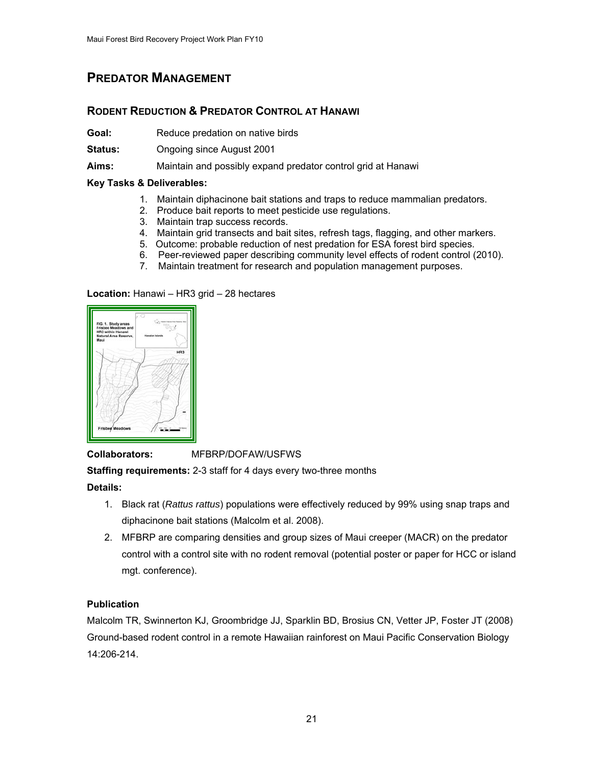## <span id="page-20-0"></span>**PREDATOR MANAGEMENT**

#### **RODENT REDUCTION & PREDATOR CONTROL AT HANAWI**

Goal: Reduce predation on native birds

**Status:** Ongoing since August 2001

Aims: Maintain and possibly expand predator control grid at Hanawi

#### **Key Tasks & Deliverables:**

- 1. Maintain diphacinone bait stations and traps to reduce mammalian predators.
- 2. Produce bait reports to meet pesticide use regulations.
- 3. Maintain trap success records.
- 4. Maintain grid transects and bait sites, refresh tags, flagging, and other markers.
- 5. Outcome: probable reduction of nest predation for ESA forest bird species.
- 6. Peer-reviewed paper describing community level effects of rodent control (2010).
- 7. Maintain treatment for research and population management purposes.

#### **Location:** H anawi – HR3 grid – 28 hectares



#### **Collaborators:** MFBRP/DOFAW/USFWS

**Staffing requirements:** 2-3 staff for 4 days every two-three months

#### **Details:**

- 1. Black rat (*Rattus rattus*) populations were effectively reduced by 99% using snap traps and diphacinone bait stations (Malcolm et al. 2008).
- control with a control site with no rodent removal (potential poster or paper for HCC or island 2. MFBRP are comparing densities and group sizes of Maui creeper (MACR) on the predator mgt. conference).

#### **Publication**

Malcolm TR, Swinnerton KJ, Groombridge JJ, Sparklin BD, Brosius CN, Vetter JP, Foster JT (2008) Ground-based rodent control in a remote Hawaiian rainforest on Maui Pacific Conservation Biology 14:206-214.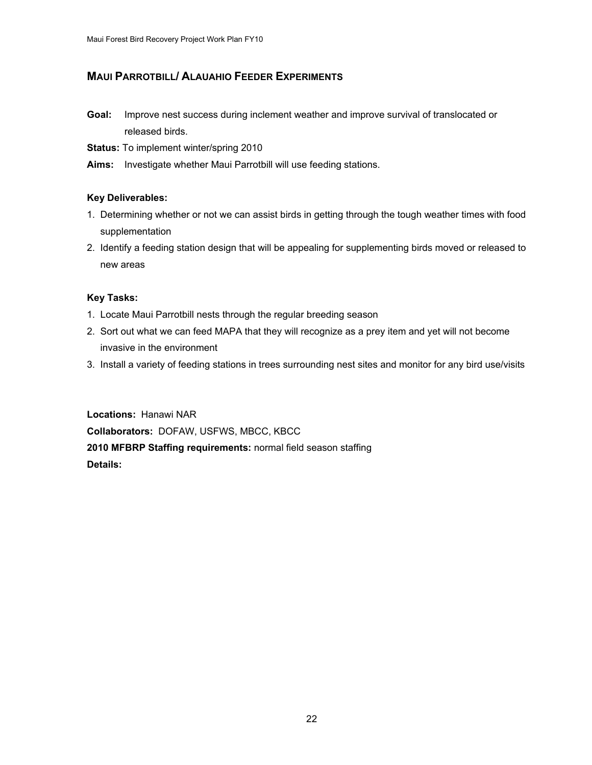#### **MAUI PARROTBILL/ ALAUAHIO FEEDER EXPERIMENTS**

- **Goal:** Improve nest success during inclement weather and improve survival of translocated or released birds.
- **Status:** To implement winter/spring 2010
- Aims: Investigate whether Maui Parrotbill will use feeding stations.

#### **Key Deliverables:**

- 1. Determining whether or not we can assist birds in getting through the tough weather times with food supplementation
- . Identify a feeding station design that will be appealing for supplementing birds moved or released to 2 new areas

#### **Key Tasks:**

- 1. Locate Maui Parrotbill nests through the regular breeding season
- 2. Sort out what we can feed MAPA that they will recognize as a prey item and yet will not become invasive in the environment
- 3. Install a variety of feeding stations in trees surrounding nest sites and monitor for any bird use/visits

**010 MFBRP Staffing requirements:** normal field season staffing **2 etails: D Locations:** Hanawi NAR **Collaborators:** DOFAW, USFWS, MBCC, KBCC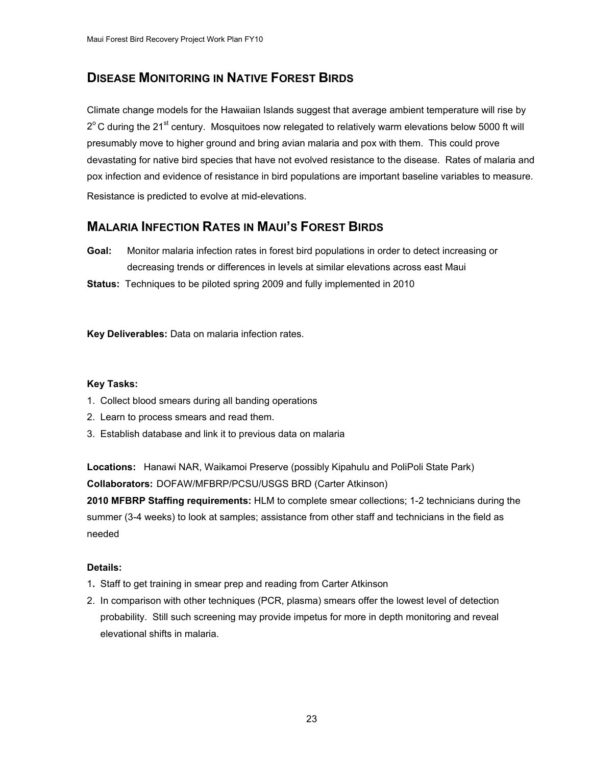## **DISEASE MONITORING IN NATIVE FOREST BIRDS**

Climate change models for the Hawaiian Islands suggest that average ambient temperature will rise by  $2^{\circ}$ C during the 21<sup>st</sup> century. Mosquitoes now relegated to relatively warm elevations below 5000 ft will presumably move to higher ground and bring avian malaria and pox with them. This could prove devastating for native bird species that have not evolved resistance to the disease. Rates of malaria and pox infection and evidence of resistance in bird populations are important baseline variables to measure. Resistance is predicted to evolve at mid-elevations.

## **MALARIA INFECTION RATES IN MAUI'S FOREST BIRDS**

**Goal:** Monitor malaria infection rates in forest bird populations in order to detect increasing or decreasing trends or differences in levels at similar elevations across east Maui

**Status:** Techniques to be piloted spring 2009 and fully implemented in 2010

**Key Deliverables:** Data on malaria infection rates.

#### **Key Tasks:**

- 1. Collect blood smears during all banding operations
- 2. Learn to process smears and read them.
- 3. Establish database and link it to previous data on malaria

**Locations:** Hanawi NAR, Waikamoi Preserve (possibly Kipahulu and PoliPoli State Park) **Collaborators:** DOFAW/MFBRP/PCSU/USGS BRD (Carter Atkinson)

**2010 MFBRP Staffing requirements:** HLM to complete smear collections; 1-2 technicians during the summer (3-4 weeks) to look at samples; assistance from other staff and technicians in the field as needed

- 1**.** Staff to get training in smear prep and reading from Carter Atkinson
- 2. In comparison with other techniques (PCR, plasma) smears offer the lowest level of detection probability. Still such screening may provide impetus for more in depth monitoring and reveal elevational shifts in malaria.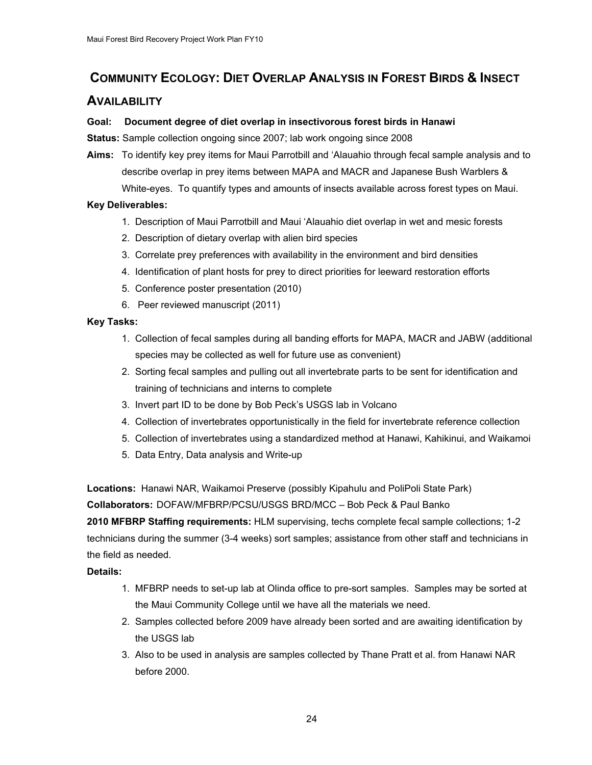## <span id="page-23-0"></span>**COMMUNITY ECOLOGY: DIET OVERLAP ANALYSIS IN FOREST BIRDS & INSECT**

#### **AVAILABILITY**

#### **Goal: Document degree of diet overlap in insectivorous forest birds in Hanawi**

**Status:** Sample collection ongoing since 2007; lab work ongoing since 2008

**Aims:** To identify key prey items for Maui Parrotbill and 'Alauahio through fecal sample analysis and to describe overlap in prey items between MAPA and MACR and Japanese Bush Warblers & White-eyes. To quantify types and amounts of insects available across forest types on Maui.

#### **Key Deliverables:**

- 1. Description of Maui Parrotbill and Maui 'Alauahio diet overlap in wet and mesic forests
- 2. Description of dietary overlap with alien bird species
- 3. Correlate prey preferences with availability in the environment and bird densities
- 4. Identification of plant hosts for prey to direct priorities for leeward restoration efforts
- 5. Conference poster presentation (2010)
- 6. Peer reviewed manuscript (2011)

#### **Key Tasks:**

- 1. Collection of fecal samples during all banding efforts for MAPA, MACR and JABW (additional species may be collected as well for future use as convenient)
- 2. Sorting fecal samples and pulling out all invertebrate parts to be sent for identification and training of technicians and interns to complete
- 3. Invert part ID to be done by Bob Peck's USGS lab in Volcano
- 4. Collection of invertebrates opportunistically in the field for invertebrate reference collection
- 5. Collection of invertebrates using a standardized method at Hanawi, Kahikinui, and Waikamoi
- 5. Data Entry, Data analysis and Write-up

**Locations:** Hanawi NAR, Waikamoi Preserve (possibly Kipahulu and PoliPoli State Park) **Collaborators:** DOFAW/MFBRP/PCSU/USGS BRD/MCC – Bob Peck & Paul Banko

**2010 MFBRP Staffing requirements:** HLM supervising, techs complete fecal sample collections; 1-2 technicians during the summer (3-4 weeks) sort samples; assistance from other staff and technicians in the field as needed.

- 1. MFBRP needs to set-up lab at Olinda office to pre-sort samples. Samples may be sorted at the Maui Community College until we have all the materials we need.
- 2. Samples collected before 2009 have already been sorted and are awaiting identification by the USGS lab
- 3. Also to be used in analysis are samples collected by Thane Pratt et al. from Hanawi NAR before 2000.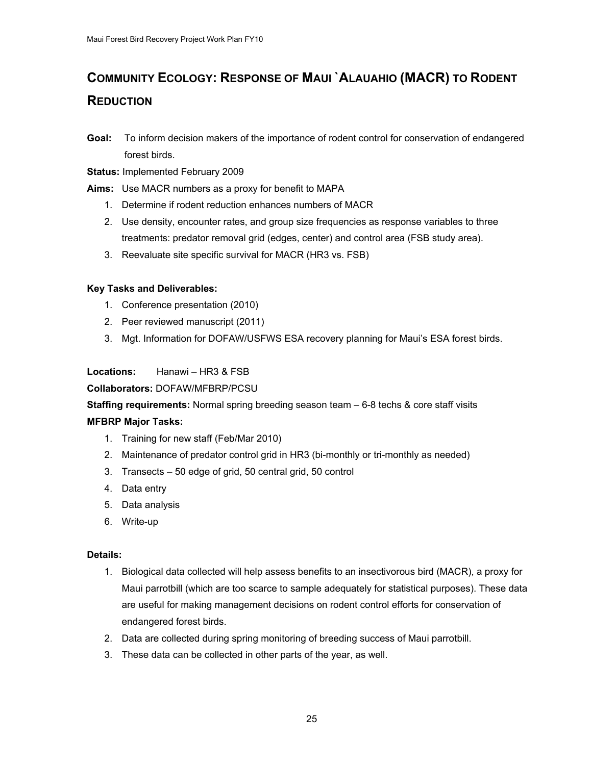## **COMMUNITY ECOLOGY: RESPONSE OF MAUI `ALAUAHIO (MACR) TO RODENT REDUCTION**

- **Goal:** To inform decision makers of the importance of rodent control for conservation of endangered forest birds.
- **Status:** Implemented February 2009
- **Aims:** Use MACR numbers as a proxy for benefit to MAPA
	- 1. Determine if rodent reduction enhances numbers of MACR
	- 2. Use density, encounter rates, and group size frequencies as response variables to three treatments: predator removal grid (edges, center) and control area (FSB study area).
	- 3. Reevaluate site specific survival for MACR (HR3 vs. FSB)

#### **Key Tasks and Deliverables:**

- 1. Conference presentation (2010)
- 2. Peer reviewed manuscript (2011)
- 3. Mgt. Information for DOFAW/USFWS ESA recovery planning for Maui's ESA forest birds.

#### **Locations:** Hanawi – HR3 & FSB

**Collaborators:** DOFAW/MFBRP/PCSU

**Staffing requirements:** Normal spring breeding season team – 6-8 techs & core staff visits

#### **MFBRP Major Tasks:**

- 1. Training for new staff (Feb/Mar 2010)
- 2. Maintenance of predator control grid in HR3 (bi-monthly or tri-monthly as needed)
- 3. Transects 50 edge of grid, 50 central grid, 50 control
- 4. Data entry
- 5. Data analysis
- 6. Write-up

- 1. Biological data collected will help assess benefits to an insectivorous bird (MACR), a proxy for Maui parrotbill (which are too scarce to sample adequately for statistical purposes). These data are useful for making management decisions on rodent control efforts for conservation of endangered forest birds.
- 2. Data are collected during spring monitoring of breeding success of Maui parrotbill.
- 3. These data can be collected in other parts of the year, as well.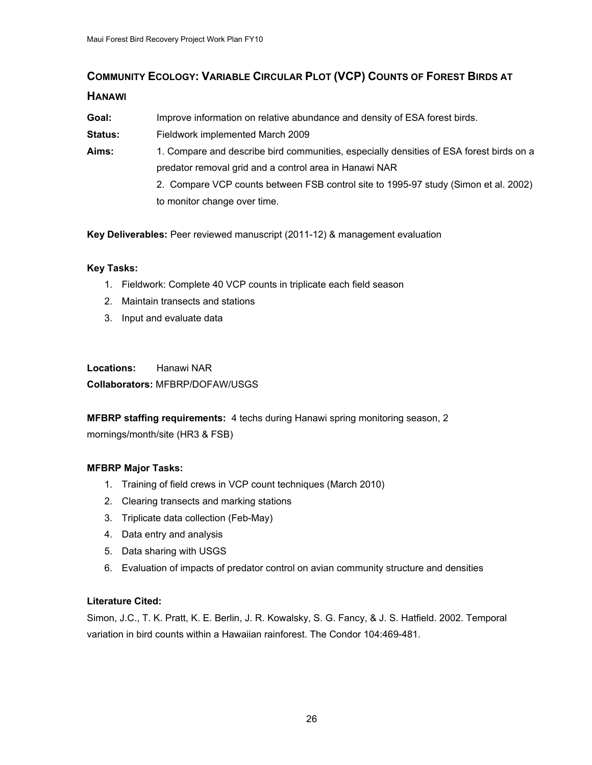## <span id="page-25-0"></span>**COMMUNITY ECOLOGY: VARIABLE CIRCULAR PLOT (VCP) COUNTS OF FOREST BIRDS AT HANAWI**

#### **Goal:** Improve information on relative abundance and density of ESA forest birds.

- **Status:** Fieldwork implemented March 2009
- **Aims:** 1. Compare and describe bird communities, especially densities of ESA forest birds on a predator removal grid and a control area in Hanawi NAR
	- 2. Compare VCP counts between FSB control site to 1995-97 study (Simon et al. 2002) to monitor change over time.

**Key Deliverables:** Peer reviewed manuscript (2011-12) & management evaluation

#### **Key Tasks:**

- 1. Fieldwork: Complete 40 VCP counts in triplicate each field season
- 2. Maintain transects and stations
- 3. Input and evaluate data

**Locations:** Hanawi NAR **Collaborators:** MFBRP/DOFAW/USGS

**MFBRP staffing requirements:** 4 techs during Hanawi spring monitoring season, 2 mornings/month/site (HR3 & FSB)

#### **MFBRP Major Tasks:**

- 1. Training of field crews in VCP count techniques (March 2010)
- 2. Clearing transects and marking stations
- 3. Triplicate data collection (Feb-May)
- 4. Data entry and analysis
- 5. Data sharing with USGS
- 6. Evaluation of impacts of predator control on avian community structure and densities

#### **Literature Cited:**

Simon, J.C., T. K. Pratt, K. E. Berlin, J. R. Kowalsky, S. G. Fancy, & J. S. Hatfield. 2002. Temporal variation in bird counts within a Hawaiian rainforest. The Condor 104:469-481.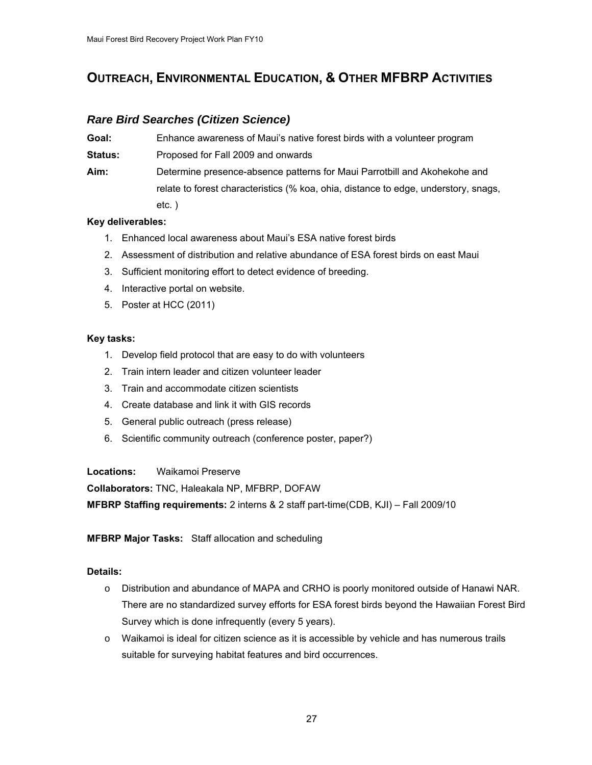## **OUTREACH, ENVIRONMENTAL EDUCATION, & OTHER MFBRP ACTIVITIES**

## *Rare Bird Searches (Citizen Science)*

| Goal: | Enhance awareness of Maui's native forest birds with a volunteer program |
|-------|--------------------------------------------------------------------------|
|-------|--------------------------------------------------------------------------|

**Status:** Proposed for Fall 2009 and onwards

**Aim:** Determine presence-absence patterns for Maui Parrotbill and Akohekohe and relate to forest characteristics (% koa, ohia, distance to edge, understory, snags, etc. )

#### **Key deliverables:**

- 1. Enhanced local awareness about Maui's ESA native forest birds
- 2. Assessment of distribution and relative abundance of ESA forest birds on east Maui
- 3. Sufficient monitoring effort to detect evidence of breeding.
- 4. Interactive portal on website.
- 5. Poster at HCC (2011)

#### **Key tasks:**

- 1. Develop field protocol that are easy to do with volunteers
- 2. Train intern leader and citizen volunteer leader
- 3. Train and accommodate citizen scientists
- 4. Create database and link it with GIS records
- 5. General public outreach (press release)
- 6. Scientific community outreach (conference poster, paper?)

**Locations:** Waikamoi Preserve

**Collaborators:** TNC, Haleakala NP, MFBRP, DOFAW

**MFBRP Staffing requirements:** 2 interns & 2 staff part-time(CDB, KJI) – Fall 2009/10

**MFBRP Major Tasks:** Staff allocation and scheduling

- o Distribution and abundance of MAPA and CRHO is poorly monitored outside of Hanawi NAR. There are no standardized survey efforts for ESA forest birds beyond the Hawaiian Forest Bird Survey which is done infrequently (every 5 years).
- o Waikamoi is ideal for citizen science as it is accessible by vehicle and has numerous trails suitable for surveying habitat features and bird occurrences.